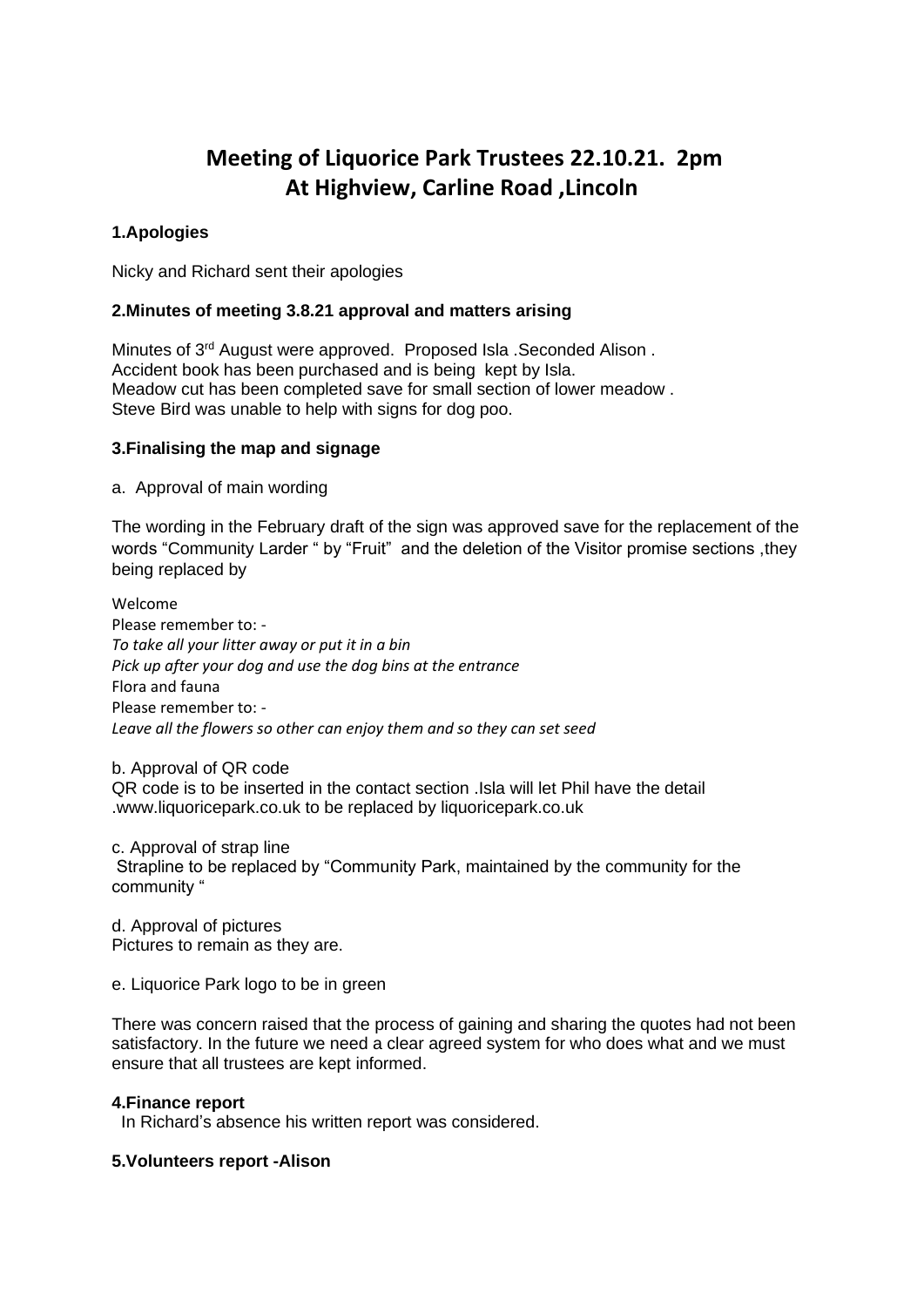# **Meeting of Liquorice Park Trustees 22.10.21. 2pm At Highview, Carline Road ,Lincoln**

# **1.Apologies**

Nicky and Richard sent their apologies

## **2.Minutes of meeting 3.8.21 approval and matters arising**

Minutes of 3rd August were approved. Proposed Isla .Seconded Alison . Accident book has been purchased and is being kept by Isla. Meadow cut has been completed save for small section of lower meadow . Steve Bird was unable to help with signs for dog poo.

## **3.Finalising the map and signage**

a. Approval of main wording

The wording in the February draft of the sign was approved save for the replacement of the words "Community Larder " by "Fruit" and the deletion of the Visitor promise sections ,they being replaced by

Welcome Please remember to: - *To take all your litter away or put it in a bin Pick up after your dog and use the dog bins at the entrance* Flora and fauna Please remember to: - *Leave all the flowers so other can enjoy them and so they can set seed*

b. Approval of QR code

QR code is to be inserted in the contact section .Isla will let Phil have the detail .www.liquoricepark.co.uk to be replaced by liquoricepark.co.uk

c. Approval of strap line Strapline to be replaced by "Community Park, maintained by the community for the community "

d. Approval of pictures Pictures to remain as they are.

e. Liquorice Park logo to be in green

There was concern raised that the process of gaining and sharing the quotes had not been satisfactory. In the future we need a clear agreed system for who does what and we must ensure that all trustees are kept informed.

#### **4.Finance report**

In Richard's absence his written report was considered.

#### **5.Volunteers report -Alison**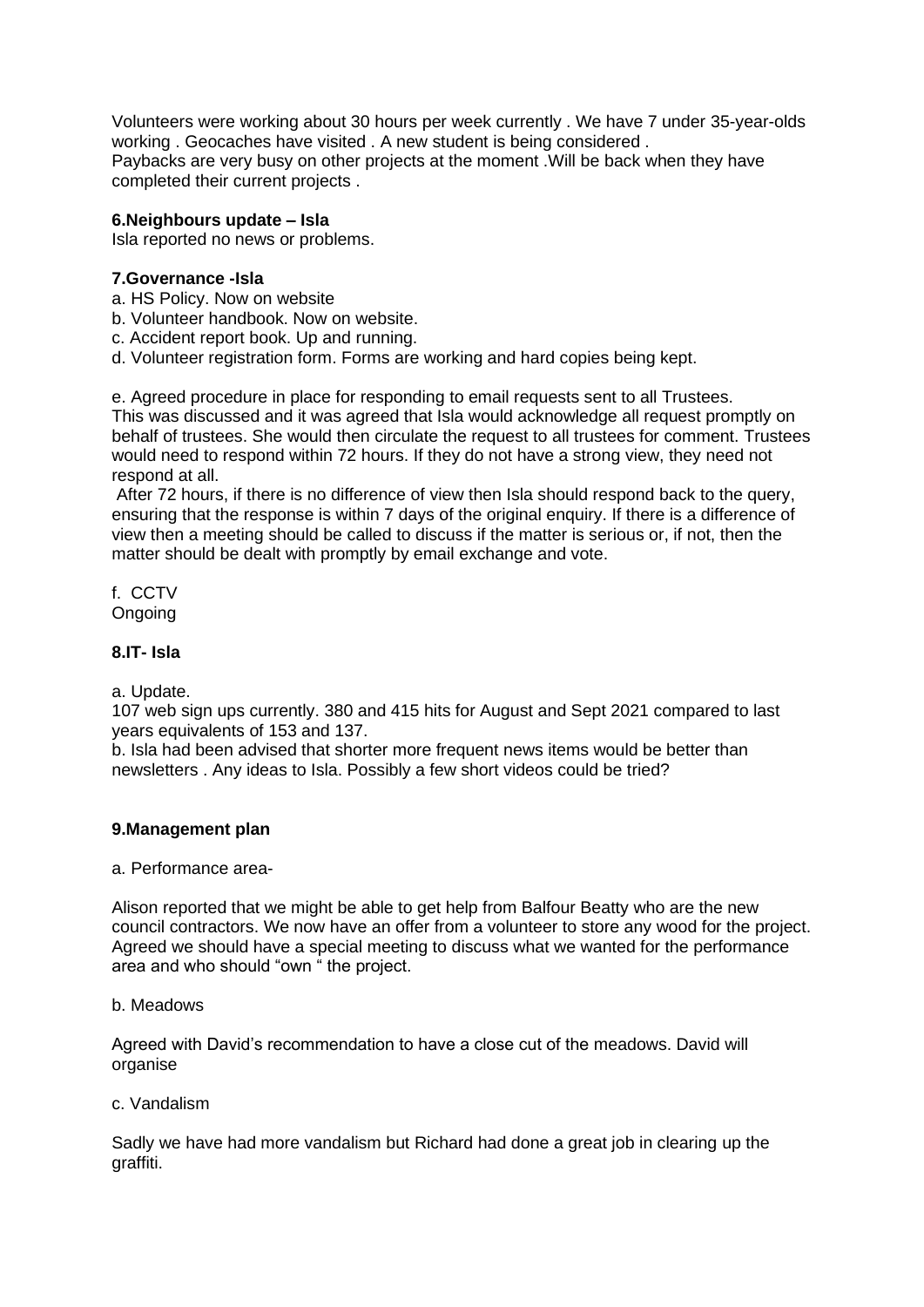Volunteers were working about 30 hours per week currently . We have 7 under 35-year-olds working . Geocaches have visited . A new student is being considered . Paybacks are very busy on other projects at the moment .Will be back when they have completed their current projects .

# **6.Neighbours update – Isla**

Isla reported no news or problems.

## **7.Governance -Isla**

- a. HS Policy. Now on website
- b. Volunteer handbook. Now on website.
- c. Accident report book. Up and running.
- d. Volunteer registration form. Forms are working and hard copies being kept.

e. Agreed procedure in place for responding to email requests sent to all Trustees. This was discussed and it was agreed that Isla would acknowledge all request promptly on behalf of trustees. She would then circulate the request to all trustees for comment. Trustees would need to respond within 72 hours. If they do not have a strong view, they need not respond at all.

After 72 hours, if there is no difference of view then Isla should respond back to the query, ensuring that the response is within 7 days of the original enquiry. If there is a difference of view then a meeting should be called to discuss if the matter is serious or, if not, then the matter should be dealt with promptly by email exchange and vote.

f. CCTV Ongoing

# **8.IT- Isla**

a. Update.

107 web sign ups currently. 380 and 415 hits for August and Sept 2021 compared to last years equivalents of 153 and 137.

b. Isla had been advised that shorter more frequent news items would be better than newsletters . Any ideas to Isla. Possibly a few short videos could be tried?

# **9.Management plan**

#### a. Performance area-

Alison reported that we might be able to get help from Balfour Beatty who are the new council contractors. We now have an offer from a volunteer to store any wood for the project. Agreed we should have a special meeting to discuss what we wanted for the performance area and who should "own " the project.

#### b. Meadows

Agreed with David's recommendation to have a close cut of the meadows. David will organise

#### c. Vandalism

Sadly we have had more vandalism but Richard had done a great job in clearing up the graffiti.